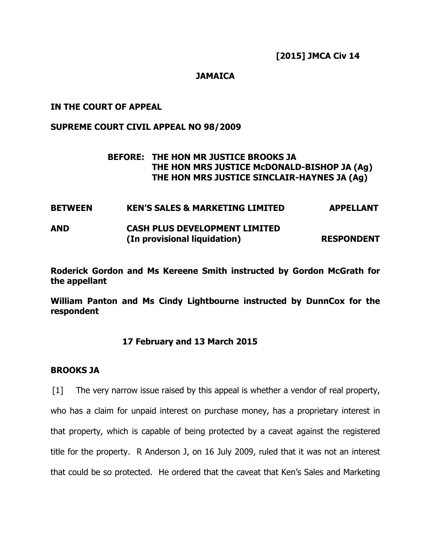### **JAMAICA**

### **IN THE COURT OF APPEAL**

#### **SUPREME COURT CIVIL APPEAL NO 98/2009**

## **BEFORE: THE HON MR JUSTICE BROOKS JA THE HON MRS JUSTICE McDONALD-BISHOP JA (Ag) THE HON MRS JUSTICE SINCLAIR-HAYNES JA (Ag)**

**BETWEEN KEN'S SALES & MARKETING LIMITED APPELLANT AND CASH PLUS DEVELOPMENT LIMITED (In provisional liquidation) RESPONDENT**

**Roderick Gordon and Ms Kereene Smith instructed by Gordon McGrath for the appellant** 

**William Panton and Ms Cindy Lightbourne instructed by DunnCox for the respondent** 

## **17 February and 13 March 2015**

#### **BROOKS JA**

[1] The very narrow issue raised by this appeal is whether a vendor of real property, who has a claim for unpaid interest on purchase money, has a proprietary interest in that property, which is capable of being protected by a caveat against the registered title for the property. R Anderson J, on 16 July 2009, ruled that it was not an interest that could be so protected. He ordered that the caveat that Ken's Sales and Marketing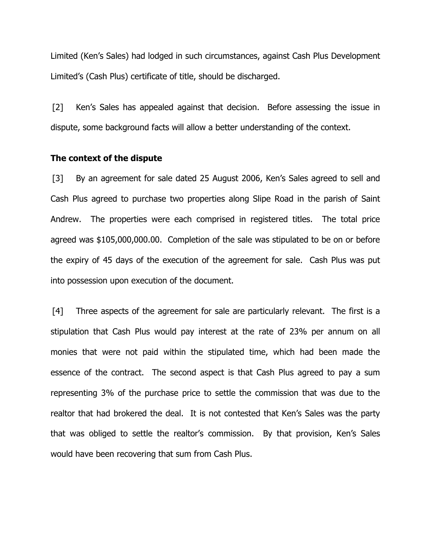Limited (Ken's Sales) had lodged in such circumstances, against Cash Plus Development Limited's (Cash Plus) certificate of title, should be discharged.

[2] Ken's Sales has appealed against that decision. Before assessing the issue in dispute, some background facts will allow a better understanding of the context.

#### **The context of the dispute**

[3] By an agreement for sale dated 25 August 2006, Ken's Sales agreed to sell and Cash Plus agreed to purchase two properties along Slipe Road in the parish of Saint Andrew. The properties were each comprised in registered titles. The total price agreed was \$105,000,000.00. Completion of the sale was stipulated to be on or before the expiry of 45 days of the execution of the agreement for sale. Cash Plus was put into possession upon execution of the document.

[4] Three aspects of the agreement for sale are particularly relevant. The first is a stipulation that Cash Plus would pay interest at the rate of 23% per annum on all monies that were not paid within the stipulated time, which had been made the essence of the contract. The second aspect is that Cash Plus agreed to pay a sum representing 3% of the purchase price to settle the commission that was due to the realtor that had brokered the deal. It is not contested that Ken's Sales was the party that was obliged to settle the realtor's commission. By that provision, Ken's Sales would have been recovering that sum from Cash Plus.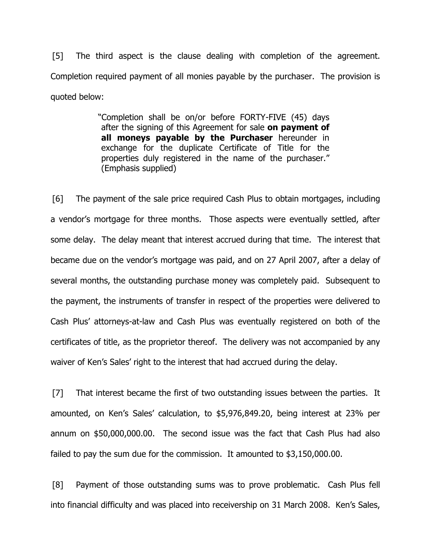[5] The third aspect is the clause dealing with completion of the agreement. Completion required payment of all monies payable by the purchaser. The provision is quoted below:

> "Completion shall be on/or before FORTY-FIVE (45) days after the signing of this Agreement for sale **on payment of all moneys payable by the Purchaser** hereunder in exchange for the duplicate Certificate of Title for the properties duly registered in the name of the purchaser." (Emphasis supplied)

[6] The payment of the sale price required Cash Plus to obtain mortgages, including a vendor's mortgage for three months. Those aspects were eventually settled, after some delay. The delay meant that interest accrued during that time. The interest that became due on the vendor's mortgage was paid, and on 27 April 2007, after a delay of several months, the outstanding purchase money was completely paid. Subsequent to the payment, the instruments of transfer in respect of the properties were delivered to Cash Plus' attorneys-at-law and Cash Plus was eventually registered on both of the certificates of title, as the proprietor thereof. The delivery was not accompanied by any waiver of Ken's Sales' right to the interest that had accrued during the delay.

[7] That interest became the first of two outstanding issues between the parties. It amounted, on Ken's Sales' calculation, to \$5,976,849.20, being interest at 23% per annum on \$50,000,000.00. The second issue was the fact that Cash Plus had also failed to pay the sum due for the commission. It amounted to \$3,150,000.00.

[8] Payment of those outstanding sums was to prove problematic. Cash Plus fell into financial difficulty and was placed into receivership on 31 March 2008. Ken's Sales,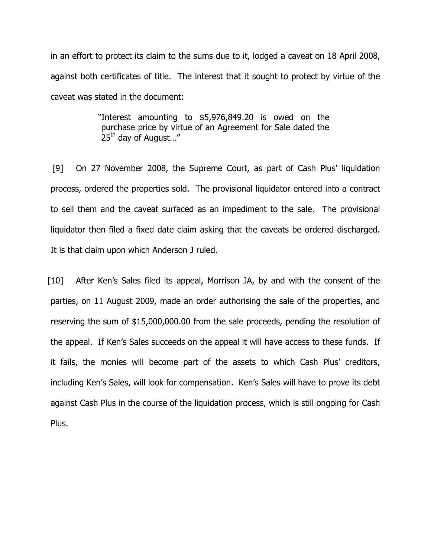in an effort to protect its claim to the sums due to it, lodged a caveat on 18 April 2008, against both certificates of title. The interest that it sought to protect by virtue of the caveat was stated in the document:

> "Interest amounting to \$5,976,849.20 is owed on the purchase price by virtue of an Agreement for Sale dated the 25<sup>th</sup> day of August..."

[9] On 27 November 2008, the Supreme Court, as part of Cash Plus' liquidation process, ordered the properties sold. The provisional liquidator entered into a contract to sell them and the caveat surfaced as an impediment to the sale. The provisional liquidator then filed a fixed date claim asking that the caveats be ordered discharged. It is that claim upon which Anderson J ruled.

[10] After Ken's Sales filed its appeal, Morrison JA, by and with the consent of the parties, on 11 August 2009, made an order authorising the sale of the properties, and reserving the sum of \$15,000,000.00 from the sale proceeds, pending the resolution of the appeal. If Ken's Sales succeeds on the appeal it will have access to these funds. If it fails, the monies will become part of the assets to which Cash Plus' creditors, including Ken's Sales, will look for compensation. Ken's Sales will have to prove its debt against Cash Plus in the course of the liquidation process, which is still ongoing for Cash Plus.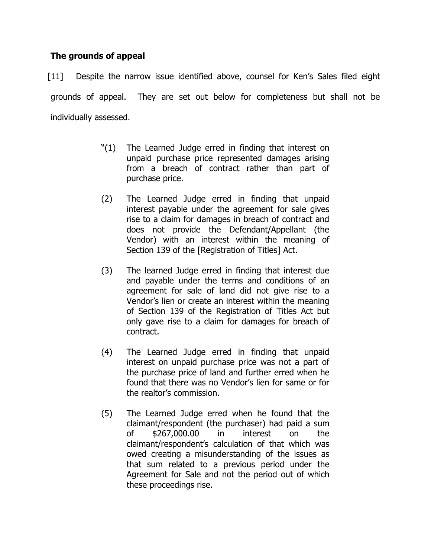# **The grounds of appeal**

[11] Despite the narrow issue identified above, counsel for Ken's Sales filed eight grounds of appeal. They are set out below for completeness but shall not be individually assessed.

- "(1) The Learned Judge erred in finding that interest on unpaid purchase price represented damages arising from a breach of contract rather than part of purchase price.
- (2) The Learned Judge erred in finding that unpaid interest payable under the agreement for sale gives rise to a claim for damages in breach of contract and does not provide the Defendant/Appellant (the Vendor) with an interest within the meaning of Section 139 of the [Registration of Titles] Act.
- (3) The learned Judge erred in finding that interest due and payable under the terms and conditions of an agreement for sale of land did not give rise to a Vendor's lien or create an interest within the meaning of Section 139 of the Registration of Titles Act but only gave rise to a claim for damages for breach of contract.
- (4) The Learned Judge erred in finding that unpaid interest on unpaid purchase price was not a part of the purchase price of land and further erred when he found that there was no Vendor's lien for same or for the realtor's commission.
- (5) The Learned Judge erred when he found that the claimant/respondent (the purchaser) had paid a sum of \$267,000.00 in interest on the claimant/respondent's calculation of that which was owed creating a misunderstanding of the issues as that sum related to a previous period under the Agreement for Sale and not the period out of which these proceedings rise.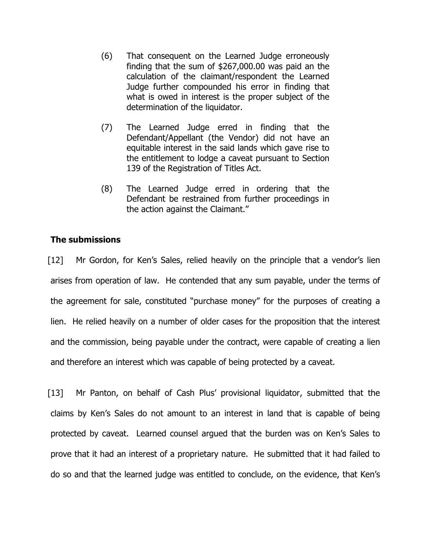- (6) That consequent on the Learned Judge erroneously finding that the sum of \$267,000.00 was paid an the calculation of the claimant/respondent the Learned Judge further compounded his error in finding that what is owed in interest is the proper subject of the determination of the liquidator.
- (7) The Learned Judge erred in finding that the Defendant/Appellant (the Vendor) did not have an equitable interest in the said lands which gave rise to the entitlement to lodge a caveat pursuant to Section 139 of the Registration of Titles Act.
- (8) The Learned Judge erred in ordering that the Defendant be restrained from further proceedings in the action against the Claimant."

# **The submissions**

[12] Mr Gordon, for Ken's Sales, relied heavily on the principle that a vendor's lien arises from operation of law. He contended that any sum payable, under the terms of the agreement for sale, constituted "purchase money" for the purposes of creating a lien. He relied heavily on a number of older cases for the proposition that the interest and the commission, being payable under the contract, were capable of creating a lien and therefore an interest which was capable of being protected by a caveat.

[13] Mr Panton, on behalf of Cash Plus' provisional liquidator, submitted that the claims by Ken's Sales do not amount to an interest in land that is capable of being protected by caveat. Learned counsel argued that the burden was on Ken's Sales to prove that it had an interest of a proprietary nature. He submitted that it had failed to do so and that the learned judge was entitled to conclude, on the evidence, that Ken's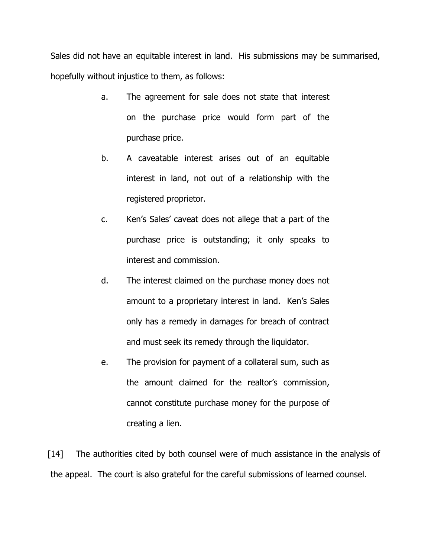Sales did not have an equitable interest in land. His submissions may be summarised, hopefully without injustice to them, as follows:

- a. The agreement for sale does not state that interest on the purchase price would form part of the purchase price.
- b. A caveatable interest arises out of an equitable interest in land, not out of a relationship with the registered proprietor.
- c. Ken's Sales' caveat does not allege that a part of the purchase price is outstanding; it only speaks to interest and commission.
- d. The interest claimed on the purchase money does not amount to a proprietary interest in land. Ken's Sales only has a remedy in damages for breach of contract and must seek its remedy through the liquidator.
- e. The provision for payment of a collateral sum, such as the amount claimed for the realtor's commission, cannot constitute purchase money for the purpose of creating a lien.

[14] The authorities cited by both counsel were of much assistance in the analysis of the appeal. The court is also grateful for the careful submissions of learned counsel.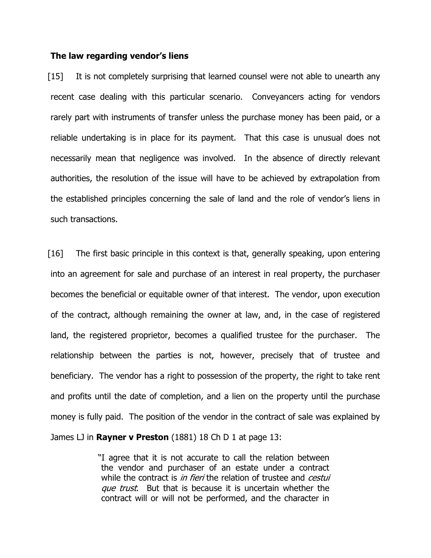#### **The law regarding vendor's liens**

[15] It is not completely surprising that learned counsel were not able to unearth any recent case dealing with this particular scenario. Conveyancers acting for vendors rarely part with instruments of transfer unless the purchase money has been paid, or a reliable undertaking is in place for its payment. That this case is unusual does not necessarily mean that negligence was involved. In the absence of directly relevant authorities, the resolution of the issue will have to be achieved by extrapolation from the established principles concerning the sale of land and the role of vendor's liens in such transactions.

[16] The first basic principle in this context is that, generally speaking, upon entering into an agreement for sale and purchase of an interest in real property, the purchaser becomes the beneficial or equitable owner of that interest. The vendor, upon execution of the contract, although remaining the owner at law, and, in the case of registered land, the registered proprietor, becomes a qualified trustee for the purchaser. The relationship between the parties is not, however, precisely that of trustee and beneficiary. The vendor has a right to possession of the property, the right to take rent and profits until the date of completion, and a lien on the property until the purchase money is fully paid. The position of the vendor in the contract of sale was explained by James LJ in **Rayner v Preston** (1881) 18 Ch D 1 at page 13:

> "I agree that it is not accurate to call the relation between the vendor and purchaser of an estate under a contract while the contract is *in fieri* the relation of trustee and *cestui* que trust. But that is because it is uncertain whether the contract will or will not be performed, and the character in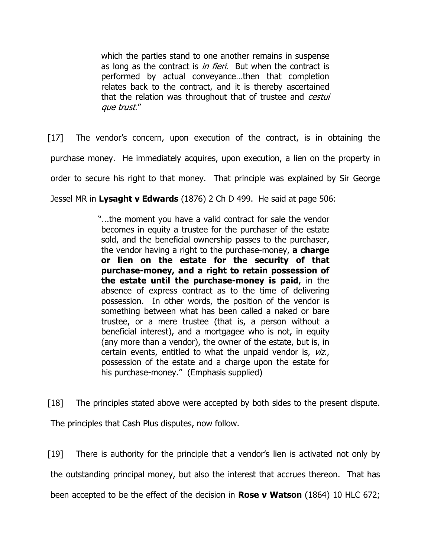which the parties stand to one another remains in suspense as long as the contract is *in fieri*. But when the contract is performed by actual conveyance…then that completion relates back to the contract, and it is thereby ascertained that the relation was throughout that of trustee and *cestui* que trust."

[17] The vendor's concern, upon execution of the contract, is in obtaining the purchase money. He immediately acquires, upon execution, a lien on the property in order to secure his right to that money. That principle was explained by Sir George

Jessel MR in **Lysaght v Edwards** (1876) 2 Ch D 499. He said at page 506:

"...the moment you have a valid contract for sale the vendor becomes in equity a trustee for the purchaser of the estate sold, and the beneficial ownership passes to the purchaser, the vendor having a right to the purchase-money, **a charge or lien on the estate for the security of that purchase-money, and a right to retain possession of the estate until the purchase-money is paid**, in the absence of express contract as to the time of delivering possession. In other words, the position of the vendor is something between what has been called a naked or bare trustee, or a mere trustee (that is, a person without a beneficial interest), and a mortgagee who is not, in equity (any more than a vendor), the owner of the estate, but is, in certain events, entitled to what the unpaid vendor is, viz., possession of the estate and a charge upon the estate for his purchase-money." (Emphasis supplied)

[18] The principles stated above were accepted by both sides to the present dispute.

The principles that Cash Plus disputes, now follow.

[19] There is authority for the principle that a vendor's lien is activated not only by the outstanding principal money, but also the interest that accrues thereon. That has been accepted to be the effect of the decision in **Rose v Watson** (1864) 10 HLC 672;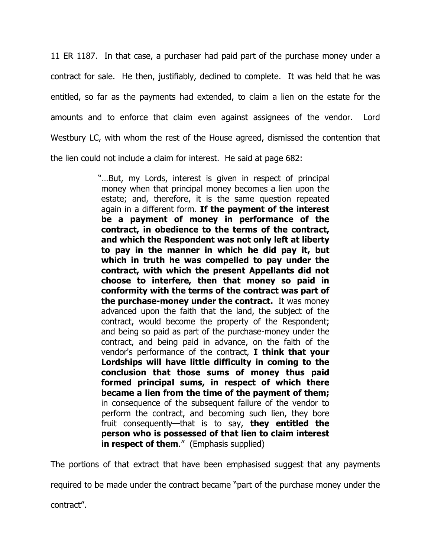11 ER 1187. In that case, a purchaser had paid part of the purchase money under a contract for sale. He then, justifiably, declined to complete. It was held that he was entitled, so far as the payments had extended, to claim a lien on the estate for the amounts and to enforce that claim even against assignees of the vendor. Lord Westbury LC, with whom the rest of the House agreed, dismissed the contention that the lien could not include a claim for interest. He said at page 682:

> "…But, my Lords, interest is given in respect of principal money when that principal money becomes a lien upon the estate; and, therefore, it is the same question repeated again in a different form. **If the payment of the interest be a payment of money in performance of the contract, in obedience to the terms of the contract, and which the Respondent was not only left at liberty to pay in the manner in which he did pay it, but which in truth he was compelled to pay under the contract, with which the present Appellants did not choose to interfere, then that money so paid in conformity with the terms of the contract was part of the purchase-money under the contract.** It was money advanced upon the faith that the land, the subject of the contract, would become the property of the Respondent; and being so paid as part of the purchase-money under the contract, and being paid in advance, on the faith of the vendor's performance of the contract, **I think that your Lordships will have little difficulty in coming to the conclusion that those sums of money thus paid formed principal sums, in respect of which there became a lien from the time of the payment of them;** in consequence of the subsequent failure of the vendor to perform the contract, and becoming such lien, they bore fruit consequently—that is to say, **they entitled the person who is possessed of that lien to claim interest in respect of them.**" (Emphasis supplied)

The portions of that extract that have been emphasised suggest that any payments

required to be made under the contract became "part of the purchase money under the

contract".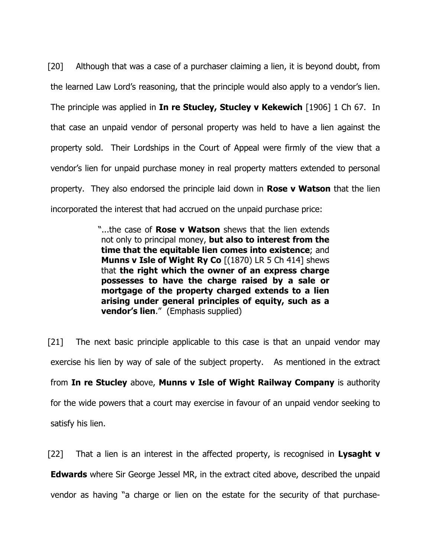[20] Although that was a case of a purchaser claiming a lien, it is beyond doubt, from the learned Law Lord's reasoning, that the principle would also apply to a vendor's lien. The principle was applied in **In re Stucley, Stucley v Kekewich** [1906] 1 Ch 67. In that case an unpaid vendor of personal property was held to have a lien against the property sold. Their Lordships in the Court of Appeal were firmly of the view that a vendor's lien for unpaid purchase money in real property matters extended to personal property. They also endorsed the principle laid down in **Rose v Watson** that the lien incorporated the interest that had accrued on the unpaid purchase price:

> "...the case of **Rose v Watson** shews that the lien extends not only to principal money, **but also to interest from the time that the equitable lien comes into existence**; and **Munns v Isle of Wight Ry Co** [(1870) LR 5 Ch 414] shews that **the right which the owner of an express charge possesses to have the charge raised by a sale or mortgage of the property charged extends to a lien arising under general principles of equity, such as a vendor's lien**." (Emphasis supplied)

[21] The next basic principle applicable to this case is that an unpaid vendor may exercise his lien by way of sale of the subject property. As mentioned in the extract from **In re Stucley** above, **Munns v Isle of Wight Railway Company** is authority for the wide powers that a court may exercise in favour of an unpaid vendor seeking to satisfy his lien.

[22] That a lien is an interest in the affected property, is recognised in **Lysaght v Edwards** where Sir George Jessel MR, in the extract cited above, described the unpaid vendor as having "a charge or lien on the estate for the security of that purchase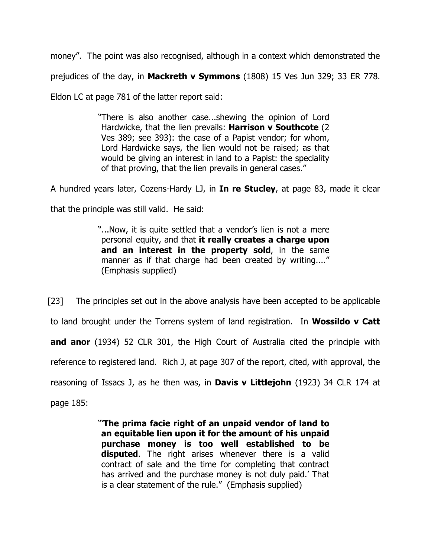money". The point was also recognised, although in a context which demonstrated the prejudices of the day, in **Mackreth v Symmons** (1808) 15 Ves Jun 329; 33 ER 778.

Eldon LC at page 781 of the latter report said:

"There is also another case...shewing the opinion of Lord Hardwicke, that the lien prevails: **Harrison v Southcote** (2 Ves 389; see 393): the case of a Papist vendor; for whom, Lord Hardwicke says, the lien would not be raised; as that would be giving an interest in land to a Papist: the speciality of that proving, that the lien prevails in general cases."

A hundred years later, Cozens-Hardy LJ, in **In re Stucley**, at page 83, made it clear

that the principle was still valid. He said:

"...Now, it is quite settled that a vendor's lien is not a mere personal equity, and that **it really creates a charge upon and an interest in the property sold**, in the same manner as if that charge had been created by writing...." (Emphasis supplied)

[23] The principles set out in the above analysis have been accepted to be applicable to land brought under the Torrens system of land registration. In **Wossildo v Catt and anor** (1934) 52 CLR 301, the High Court of Australia cited the principle with reference to registered land. Rich J, at page 307 of the report, cited, with approval, the reasoning of Issacs J, as he then was, in **Davis v Littlejohn** (1923) 34 CLR 174 at page 185:

> '"**The prima facie right of an unpaid vendor of land to an equitable lien upon it for the amount of his unpaid purchase money is too well established to be disputed**. The right arises whenever there is a valid contract of sale and the time for completing that contract has arrived and the purchase money is not duly paid.' That is a clear statement of the rule." (Emphasis supplied)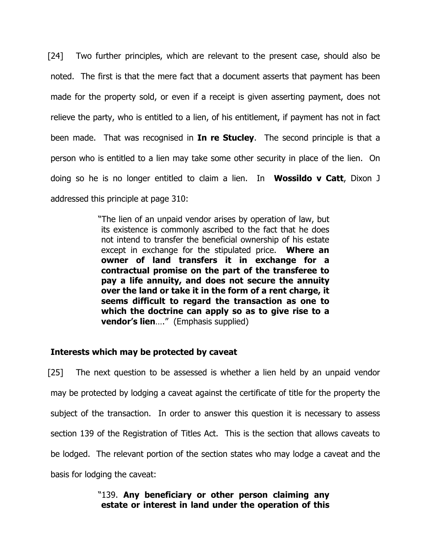[24] Two further principles, which are relevant to the present case, should also be noted. The first is that the mere fact that a document asserts that payment has been made for the property sold, or even if a receipt is given asserting payment, does not relieve the party, who is entitled to a lien, of his entitlement, if payment has not in fact been made. That was recognised in **In re Stucley**. The second principle is that a person who is entitled to a lien may take some other security in place of the lien. On doing so he is no longer entitled to claim a lien. In **Wossildo v Catt**, Dixon J addressed this principle at page 310:

> "The lien of an unpaid vendor arises by operation of law, but its existence is commonly ascribed to the fact that he does not intend to transfer the beneficial ownership of his estate except in exchange for the stipulated price. **Where an owner of land transfers it in exchange for a contractual promise on the part of the transferee to pay a life annuity, and does not secure the annuity over the land or take it in the form of a rent charge, it seems difficult to regard the transaction as one to which the doctrine can apply so as to give rise to a vendor's lien**…." (Emphasis supplied)

## **Interests which may be protected by caveat**

[25] The next question to be assessed is whether a lien held by an unpaid vendor may be protected by lodging a caveat against the certificate of title for the property the subject of the transaction. In order to answer this question it is necessary to assess section 139 of the Registration of Titles Act. This is the section that allows caveats to be lodged. The relevant portion of the section states who may lodge a caveat and the basis for lodging the caveat:

## "139. **Any beneficiary or other person claiming any estate or interest in land under the operation of this**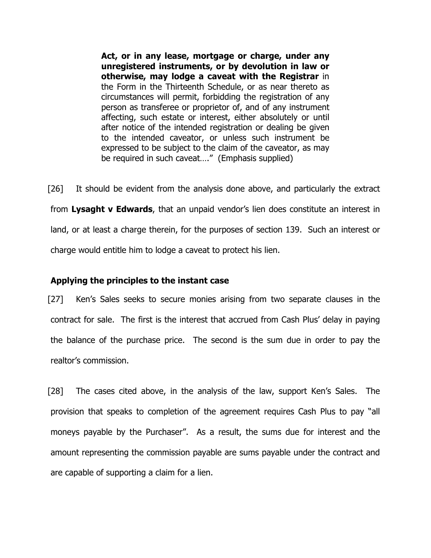**Act, or in any lease, mortgage or charge, under any unregistered instruments, or by devolution in law or otherwise, may lodge a caveat with the Registrar** in the Form in the Thirteenth Schedule, or as near thereto as circumstances will permit, forbidding the registration of any person as transferee or proprietor of, and of any instrument affecting, such estate or interest, either absolutely or until after notice of the intended registration or dealing be given to the intended caveator, or unless such instrument be expressed to be subject to the claim of the caveator, as may be required in such caveat…." (Emphasis supplied)

[26] It should be evident from the analysis done above, and particularly the extract from **Lysaght v Edwards**, that an unpaid vendor's lien does constitute an interest in land, or at least a charge therein, for the purposes of section 139. Such an interest or charge would entitle him to lodge a caveat to protect his lien.

#### **Applying the principles to the instant case**

[27] Ken's Sales seeks to secure monies arising from two separate clauses in the contract for sale. The first is the interest that accrued from Cash Plus' delay in paying the balance of the purchase price. The second is the sum due in order to pay the realtor's commission.

[28] The cases cited above, in the analysis of the law, support Ken's Sales. The provision that speaks to completion of the agreement requires Cash Plus to pay "all moneys payable by the Purchaser". As a result, the sums due for interest and the amount representing the commission payable are sums payable under the contract and are capable of supporting a claim for a lien.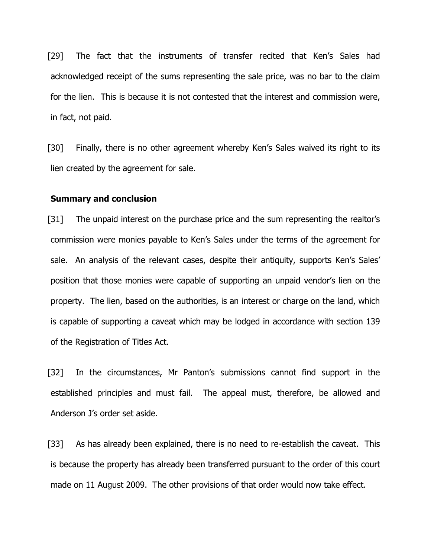[29] The fact that the instruments of transfer recited that Ken's Sales had acknowledged receipt of the sums representing the sale price, was no bar to the claim for the lien. This is because it is not contested that the interest and commission were, in fact, not paid.

[30] Finally, there is no other agreement whereby Ken's Sales waived its right to its lien created by the agreement for sale.

#### **Summary and conclusion**

[31] The unpaid interest on the purchase price and the sum representing the realtor's commission were monies payable to Ken's Sales under the terms of the agreement for sale. An analysis of the relevant cases, despite their antiquity, supports Ken's Sales' position that those monies were capable of supporting an unpaid vendor's lien on the property. The lien, based on the authorities, is an interest or charge on the land, which is capable of supporting a caveat which may be lodged in accordance with section 139 of the Registration of Titles Act.

[32] In the circumstances, Mr Panton's submissions cannot find support in the established principles and must fail. The appeal must, therefore, be allowed and Anderson J's order set aside.

[33] As has already been explained, there is no need to re-establish the caveat. This is because the property has already been transferred pursuant to the order of this court made on 11 August 2009. The other provisions of that order would now take effect.